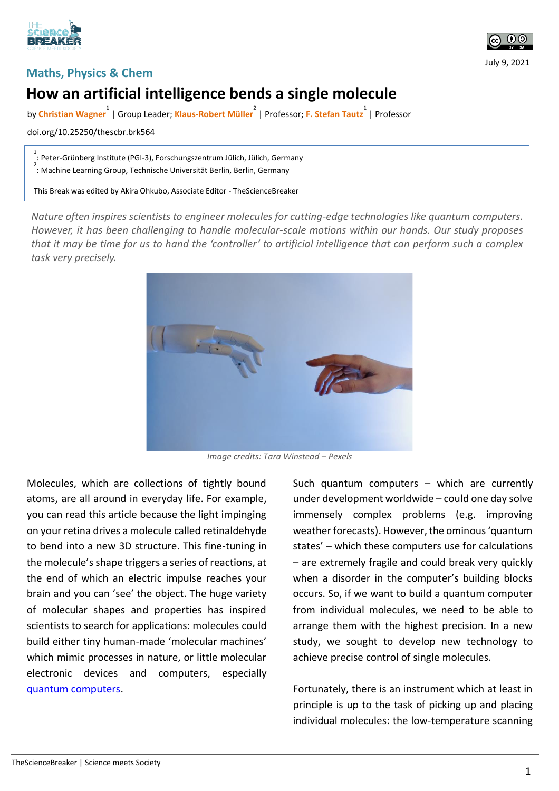



July 9, 2021

## **Maths, Physics & Chem**

## **How an artificial intelligence bends a single molecule**

by **Christian Wagner 1** | Group Leader; **Klaus-Robert Müller 2** | Professor; **F. Stefan Tautz 1** | Professor

doi.org/10.25250/thescbr.brk564

1 : Peter-Grünberg Institute (PGI-3), Forschungszentrum Jülich, Jülich, Germany

2 : Machine Learning Group, Technische Universität Berlin, Berlin, Germany

This Break was edited by Akira Ohkubo, Associate Editor - TheScienceBreaker

*Nature often inspires scientists to engineer molecules for cutting-edge technologies like quantum computers. However, it has been challenging to handle molecular-scale motions within our hands. Our study proposes that it may be time for us to hand the 'controller' to artificial intelligence that can perform such a complex task very precisely.* 



*Image credits: Tara Winstead – Pexels*

Molecules, which are collections of tightly bound atoms, are all around in everyday life. For example, you can read this article because the light impinging on your retina drives a molecule called retinaldehyde to bend into a new 3D structure. This fine-tuning in the molecule's shape triggers a series of reactions, at the end of which an electric impulse reaches your brain and you can 'see' the object. The huge variety of molecular shapes and properties has inspired scientists to search for applications: molecules could build either tiny human-made 'molecular machines' which mimic processes in nature, or little molecular electronic devices and computers, especially [quantum computers.](https://www.technologyreview.com/2019/01/29/66141/what-is-quantum-computing/)

Such quantum computers – which are currently under development worldwide – could one day solve immensely complex problems (e.g. improving weather forecasts). However, the ominous 'quantum states' – which these computers use for calculations – are extremely fragile and could break very quickly when a disorder in the computer's building blocks occurs. So, if we want to build a quantum computer from individual molecules, we need to be able to arrange them with the highest precision. In a new study, we sought to develop new technology to achieve precise control of single molecules.

Fortunately, there is an instrument which at least in principle is up to the task of picking up and placing individual molecules: the low-temperature scanning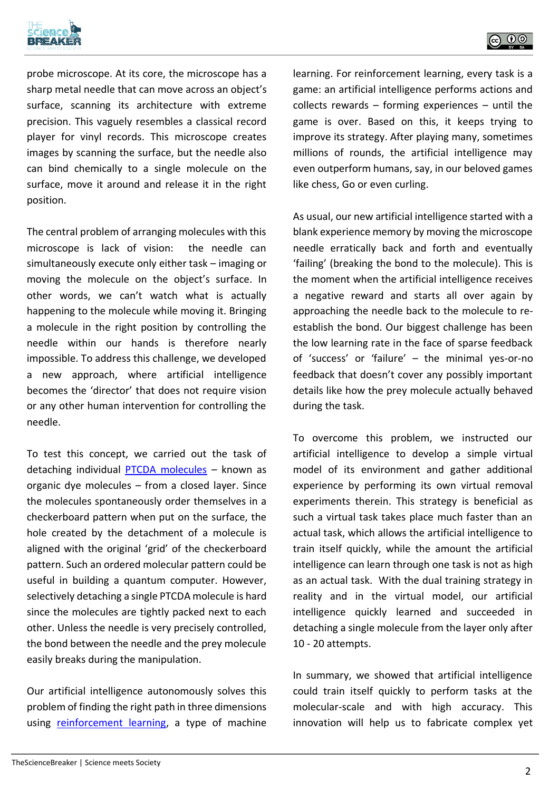



probe microscope. At its core, the microscope has a sharp metal needle that can move across an object's surface, scanning its architecture with extreme precision. This vaguely resembles a classical record player for vinyl records. This microscope creates images by scanning the surface, but the needle also can bind chemically to a single molecule on the surface, move it around and release it in the right position.

The central problem of arranging molecules with this microscope is lack of vision: the needle can simultaneously execute only either task – imaging or moving the molecule on the object's surface. In other words, we can't watch what is actually happening to the molecule while moving it. Bringing a molecule in the right position by controlling the needle within our hands is therefore nearly impossible. To address this challenge, we developed a new approach, where artificial intelligence becomes the 'director' that does not require vision or any other human intervention for controlling the needle.

To test this concept, we carried out the task of detaching individual [PTCDA molecules](https://en.wikipedia.org/wiki/Perylenetetracarboxylic_dianhydride) – known as organic dye molecules – from a closed layer. Since the molecules spontaneously order themselves in a checkerboard pattern when put on the surface, the hole created by the detachment of a molecule is aligned with the original 'grid' of the checkerboard pattern. Such an ordered molecular pattern could be useful in building a quantum computer. However, selectively detaching a single PTCDA molecule is hard since the molecules are tightly packed next to each other. Unless the needle is very precisely controlled, the bond between the needle and the prey molecule easily breaks during the manipulation.

Our artificial intelligence autonomously solves this problem of finding the right path in three dimensions using [reinforcement learning,](https://en.wikipedia.org/wiki/Reinforcement_learning) a type of machine learning. For reinforcement learning, every task is a game: an artificial intelligence performs actions and collects rewards – forming experiences – until the game is over. Based on this, it keeps trying to improve its strategy. After playing many, sometimes millions of rounds, the artificial intelligence may even outperform humans, say, in our beloved games like chess, Go or even curling.

As usual, our new artificial intelligence started with a blank experience memory by moving the microscope needle erratically back and forth and eventually 'failing' (breaking the bond to the molecule). This is the moment when the artificial intelligence receives a negative reward and starts all over again by approaching the needle back to the molecule to reestablish the bond. Our biggest challenge has been the low learning rate in the face of sparse feedback of 'success' or 'failure' – the minimal yes-or-no feedback that doesn't cover any possibly important details like how the prey molecule actually behaved during the task.

To overcome this problem, we instructed our artificial intelligence to develop a simple virtual model of its environment and gather additional experience by performing its own virtual removal experiments therein. This strategy is beneficial as such a virtual task takes place much faster than an actual task, which allows the artificial intelligence to train itself quickly, while the amount the artificial intelligence can learn through one task is not as high as an actual task. With the dual training strategy in reality and in the virtual model, our artificial intelligence quickly learned and succeeded in detaching a single molecule from the layer only after 10 - 20 attempts.

In summary, we showed that artificial intelligence could train itself quickly to perform tasks at the molecular-scale and with high accuracy. This innovation will help us to fabricate complex yet